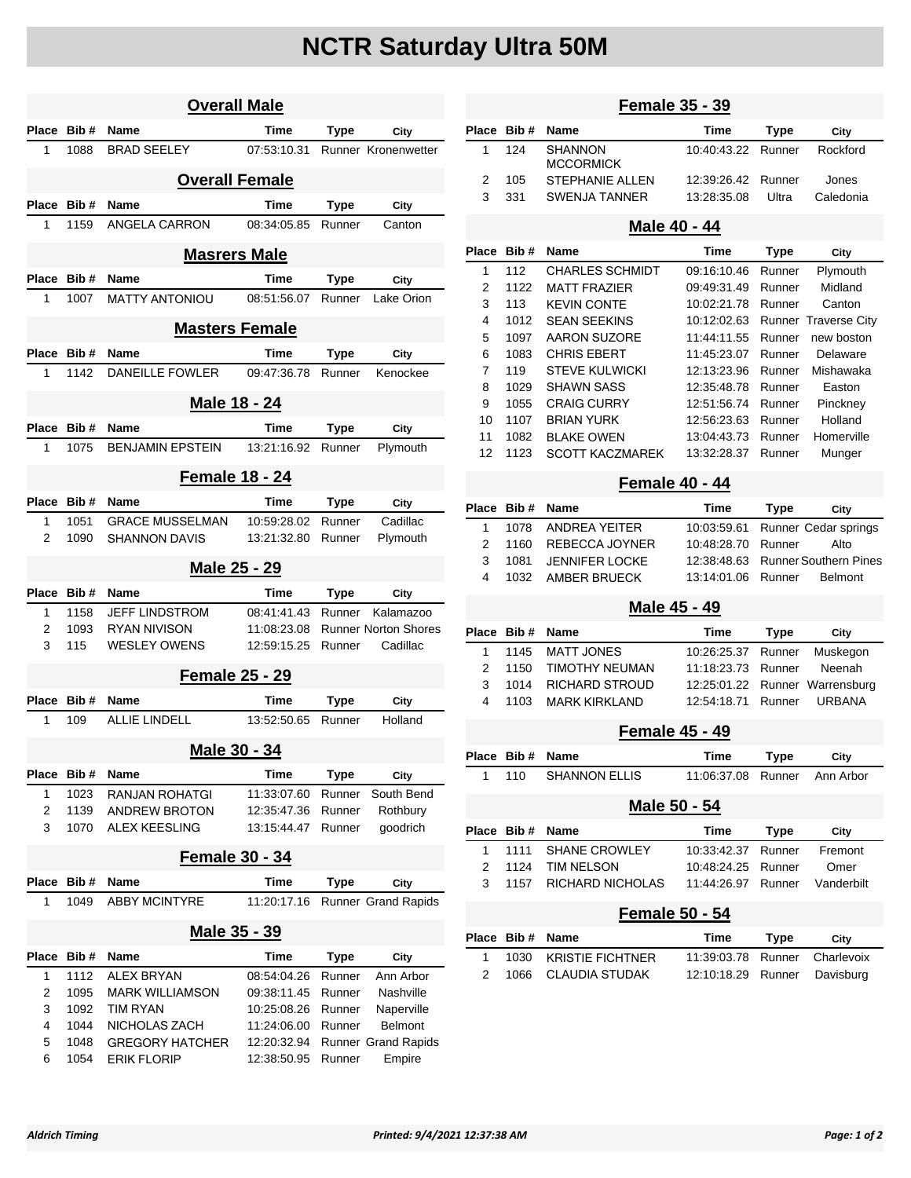## **NCTR Saturday Ultra 50M**

| <b>Overall Male</b>   |                       |                         |             |             |                             |  |  |  |  |
|-----------------------|-----------------------|-------------------------|-------------|-------------|-----------------------------|--|--|--|--|
| Place                 | Bib#                  | <b>Name</b>             | Time        | Type        | City                        |  |  |  |  |
| 1                     | 1088                  | <b>BRAD SEELEY</b>      | 07:53:10.31 |             | <b>Runner Kronenwetter</b>  |  |  |  |  |
| <b>Overall Female</b> |                       |                         |             |             |                             |  |  |  |  |
| Place                 | Bib#                  | <b>Name</b>             | Time        | <b>Type</b> | City                        |  |  |  |  |
| 1                     | 1159                  | ANGELA CARRON           | 08:34:05.85 | Runner      | Canton                      |  |  |  |  |
|                       | <b>Masrers Male</b>   |                         |             |             |                             |  |  |  |  |
| Place                 | Bib#                  | <b>Name</b>             | Time        | <b>Type</b> | City                        |  |  |  |  |
| 1                     | 1007                  | <b>MATTY ANTONIOU</b>   | 08:51:56.07 | Runner      | Lake Orion                  |  |  |  |  |
| <b>Masters Female</b> |                       |                         |             |             |                             |  |  |  |  |
| Place                 | Bib#                  | <b>Name</b>             | Time        | Type        | City                        |  |  |  |  |
| 1                     | 1142                  | <b>DANEILLE FOWLER</b>  | 09:47:36.78 | Runner      | Kenockee                    |  |  |  |  |
|                       |                       |                         |             |             |                             |  |  |  |  |
| Male 18 - 24          |                       |                         |             |             |                             |  |  |  |  |
| Place                 | Bib#                  | Name                    | Time        | Type        | City                        |  |  |  |  |
| 1                     | 1075                  | <b>BENJAMIN FPSTEIN</b> | 13:21:16.92 | Runner      | Plymouth                    |  |  |  |  |
|                       | <b>Female 18 - 24</b> |                         |             |             |                             |  |  |  |  |
| Place                 | Bib#                  | <b>Name</b>             | Time        | Type        | City                        |  |  |  |  |
| 1                     | 1051                  | <b>GRACE MUSSELMAN</b>  | 10:59:28.02 | Runner      | Cadillac                    |  |  |  |  |
| 2                     | 1090                  | <b>SHANNON DAVIS</b>    | 13:21:32.80 | Runner      | Plymouth                    |  |  |  |  |
|                       |                       | Male 25 - 29            |             |             |                             |  |  |  |  |
| Place                 | Bib#                  | <b>Name</b>             | <b>Time</b> | Type        | City                        |  |  |  |  |
| 1                     | 1158                  | <b>JEFF LINDSTROM</b>   | 08:41:41.43 | Runner      | Kalamazoo                   |  |  |  |  |
| 2                     | 1093                  | <b>RYAN NIVISON</b>     | 11:08:23.08 |             | <b>Runner Norton Shores</b> |  |  |  |  |
| 3                     | 115                   | <b>WESLEY OWENS</b>     | 12:59:15.25 | Runner      | Cadillac                    |  |  |  |  |
| <b>Female 25 - 29</b> |                       |                         |             |             |                             |  |  |  |  |
| Place                 | Bib#                  | <b>Name</b>             | Time        | <b>Type</b> | City                        |  |  |  |  |
| 1                     | 109                   | <b>ALLIE LINDELL</b>    | 13:52:50.65 | Runner      | Holland                     |  |  |  |  |
|                       | Male 30 - 34          |                         |             |             |                             |  |  |  |  |
| Place                 | Bib#                  | <b>Name</b>             | <b>Time</b> | <b>Type</b> | City                        |  |  |  |  |
| 1                     | 1023                  | <b>RANJAN ROHATGI</b>   | 11:33:07.60 | Runner      | South Bend                  |  |  |  |  |
| 2                     | 1139                  | <b>ANDREW BROTON</b>    | 12:35:47.36 | Runner      | Rothbury                    |  |  |  |  |
| 3                     | 1070                  | <b>ALEX KEESLING</b>    | 13:15:44.47 | Runner      | goodrich                    |  |  |  |  |
| <b>Female 30 - 34</b> |                       |                         |             |             |                             |  |  |  |  |
| Place                 | Bib#                  | Name                    | Time        | <b>Type</b> | City                        |  |  |  |  |
| 1                     | 1049                  | <b>ABBY MCINTYRE</b>    | 11:20:17.16 |             | Runner Grand Rapids         |  |  |  |  |
| Male 35 - 39          |                       |                         |             |             |                             |  |  |  |  |
| <b>Place</b>          | Bib#                  | Name                    | Time        | Type        | City                        |  |  |  |  |
| 1                     | 1112                  | <b>ALEX BRYAN</b>       | 08:54:04.26 | Runner      | Ann Arbor                   |  |  |  |  |
| 2                     | 1095                  | <b>MARK WILLIAMSON</b>  | 09:38:11.45 | Runner      | Nashville                   |  |  |  |  |
| 3                     | 1092                  | <b>TIM RYAN</b>         | 10:25:08.26 | Runner      | Naperville                  |  |  |  |  |
| 4                     | 1044                  | NICHOLAS ZACH           | 11:24:06.00 | Runner      | Belmont                     |  |  |  |  |
| 5                     | 1048                  | <b>GREGORY HATCHER</b>  | 12:20:32.94 |             | Runner Grand Rapids         |  |  |  |  |
| 6                     | 1054                  | <b>ERIK FLORIP</b>      | 12:38:50.95 | Runner      | Empire                      |  |  |  |  |

|                       |                                       | <b>Female 35 - 39</b>                                                    |                                                                                             |                                 |  |  |  |  |  |
|-----------------------|---------------------------------------|--------------------------------------------------------------------------|---------------------------------------------------------------------------------------------|---------------------------------|--|--|--|--|--|
| Bib #                 | Name                                  | Time                                                                     | <b>Type</b>                                                                                 | City                            |  |  |  |  |  |
| 124                   | SHANNON<br><b>MCCORMICK</b>           | 10:40:43.22                                                              | Runner                                                                                      | Rockford                        |  |  |  |  |  |
| 105                   | <b>STEPHANIE ALLEN</b>                | 12:39:26.42                                                              | Runner                                                                                      | Jones                           |  |  |  |  |  |
| 331                   | <b>SWENJA TANNER</b>                  | 13:28:35.08                                                              | Ultra                                                                                       | Caledonia                       |  |  |  |  |  |
| Male 40 - 44          |                                       |                                                                          |                                                                                             |                                 |  |  |  |  |  |
|                       | Name                                  | Time                                                                     | <b>Type</b>                                                                                 | City                            |  |  |  |  |  |
| 112                   | <b>CHARLES SCHMIDT</b>                | 09:16:10.46                                                              | Runner                                                                                      | Plymouth                        |  |  |  |  |  |
|                       |                                       | 09:49:31.49                                                              | Runner                                                                                      | Midland                         |  |  |  |  |  |
| 113                   | <b>KEVIN CONTE</b>                    | 10:02:21.78                                                              | Runner                                                                                      | Canton                          |  |  |  |  |  |
| 1012                  | <b>SEAN SEEKINS</b>                   | 10:12:02.63                                                              |                                                                                             | Runner Traverse City            |  |  |  |  |  |
| 1097                  | <b>AARON SUZORE</b>                   | 11:44:11.55                                                              | Runner                                                                                      | new boston                      |  |  |  |  |  |
| 1083                  | <b>CHRIS EBERT</b>                    | 11:45:23.07                                                              | Runner                                                                                      | Delaware                        |  |  |  |  |  |
| 119                   | <b>STEVE KULWICKI</b>                 | 12:13:23.96                                                              |                                                                                             | Mishawaka                       |  |  |  |  |  |
|                       |                                       |                                                                          | Runner                                                                                      | Easton                          |  |  |  |  |  |
| 1055                  | <b>CRAIG CURRY</b>                    | 12:51:56.74                                                              | Runner                                                                                      | Pinckney                        |  |  |  |  |  |
| 1107                  | <b>BRIAN YURK</b>                     | 12:56:23.63                                                              | Runner                                                                                      | Holland                         |  |  |  |  |  |
| 1082                  | <b>BLAKE OWEN</b>                     | 13:04:43.73                                                              | Runner                                                                                      | Homerville                      |  |  |  |  |  |
| 1123                  | <b>SCOTT KACZMAREK</b>                | 13:32:28.37                                                              | Runner                                                                                      | Munger                          |  |  |  |  |  |
| <b>Female 40 - 44</b> |                                       |                                                                          |                                                                                             |                                 |  |  |  |  |  |
| Bib #                 | Name                                  | Time                                                                     | <b>Type</b>                                                                                 | City                            |  |  |  |  |  |
| 1078                  | <b>ANDREA YEITER</b>                  | 10:03:59.61                                                              |                                                                                             | Runner Cedar springs            |  |  |  |  |  |
| 1160                  | REBECCA JOYNER                        | 10:48:28.70                                                              | Runner                                                                                      | Alto                            |  |  |  |  |  |
| 1081                  | <b>JENNIFER LOCKE</b>                 | 12:38:48.63                                                              |                                                                                             | <b>Runner Southern Pines</b>    |  |  |  |  |  |
| 1032                  | <b>AMBER BRUECK</b>                   | 13:14:01.06                                                              | Runner                                                                                      | <b>Belmont</b>                  |  |  |  |  |  |
|                       |                                       |                                                                          |                                                                                             |                                 |  |  |  |  |  |
| Bib#                  | Name                                  | Time                                                                     | Type                                                                                        | City                            |  |  |  |  |  |
| 1145                  | <b>MATT JONES</b>                     | 10:26:25.37                                                              | Runner                                                                                      | Muskegon                        |  |  |  |  |  |
| 1150                  | <b>TIMOTHY NEUMAN</b>                 | 11:18:23.73                                                              | Runner                                                                                      | Neenah                          |  |  |  |  |  |
| 1014                  | <b>RICHARD STROUD</b>                 | 12:25:01.22                                                              | Runner                                                                                      | Warrensburg                     |  |  |  |  |  |
| 1103                  | <b>MARK KIRKLAND</b>                  | 12:54:18.71                                                              | Runner                                                                                      | URBANA                          |  |  |  |  |  |
|                       |                                       |                                                                          |                                                                                             |                                 |  |  |  |  |  |
| Bib#                  | Name                                  | Time                                                                     | <b>Type</b>                                                                                 | City                            |  |  |  |  |  |
| 110                   | <b>SHANNON ELLIS</b>                  | 11:06:37.08                                                              | Runner                                                                                      | Ann Arbor                       |  |  |  |  |  |
|                       |                                       |                                                                          |                                                                                             |                                 |  |  |  |  |  |
|                       |                                       |                                                                          |                                                                                             |                                 |  |  |  |  |  |
|                       |                                       |                                                                          |                                                                                             | City                            |  |  |  |  |  |
|                       |                                       |                                                                          |                                                                                             | Fremont                         |  |  |  |  |  |
| 1124                  | <b>TIM NELSON</b>                     | 10:48:24.25                                                              | Runner                                                                                      | Omer                            |  |  |  |  |  |
| 1157                  | RICHARD NICHOLAS                      | 11:44:26.97                                                              | Runner                                                                                      | Vanderbilt                      |  |  |  |  |  |
| <b>Female 50 - 54</b> |                                       |                                                                          |                                                                                             |                                 |  |  |  |  |  |
| Bib#                  | Name                                  | Time                                                                     | <b>Type</b>                                                                                 | City                            |  |  |  |  |  |
|                       |                                       | 11:39:03.78                                                              | Runner                                                                                      | Charlevoix                      |  |  |  |  |  |
| 1030                  | <b>KRISTIE FICHTNER</b>               |                                                                          |                                                                                             |                                 |  |  |  |  |  |
|                       | Bib #<br>1122<br>1029<br>Bib#<br>1111 | <b>MATT FRAZIER</b><br><b>SHAWN SASS</b><br>Name<br><b>SHANE CROWLEY</b> | 12:35:48.78<br>Male 45 - 49<br><b>Female 45 - 49</b><br>Male 50 - 54<br>Time<br>10:33:42.37 | Runner<br><b>Type</b><br>Runner |  |  |  |  |  |